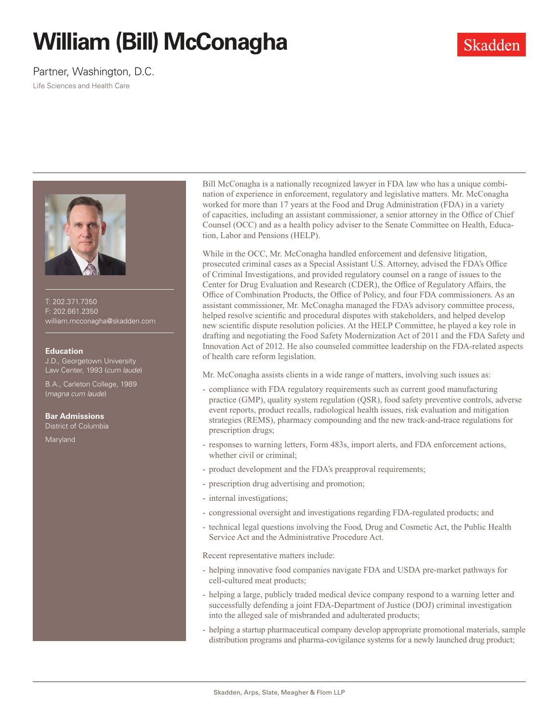# **William (Bill) McConagha**

### Partner, Washington, D.C.

Life Sciences and Health Care



T: 202.371.7350 F: 202.661.2350 william.mcconagha@skadden.com

#### **Education**

J.D., Georgetown University Law Center, 1993 (*cum laude*)

B.A., Carleton College, 1989 (*magna cum laude*)

#### **Bar Admissions**

District of Columbia

Maryland

Bill McConagha is a nationally recognized lawyer in FDA law who has a unique combination of experience in enforcement, regulatory and legislative matters. Mr. McConagha worked for more than 17 years at the Food and Drug Administration (FDA) in a variety of capacities, including an assistant commissioner, a senior attorney in the Office of Chief Counsel (OCC) and as a health policy adviser to the Senate Committee on Health, Education, Labor and Pensions (HELP).

While in the OCC, Mr. McConagha handled enforcement and defensive litigation, prosecuted criminal cases as a Special Assistant U.S. Attorney, advised the FDA's Office of Criminal Investigations, and provided regulatory counsel on a range of issues to the Center for Drug Evaluation and Research (CDER), the Office of Regulatory Affairs, the Office of Combination Products, the Office of Policy, and four FDA commissioners. As an assistant commissioner, Mr. McConagha managed the FDA's advisory committee process, helped resolve scientific and procedural disputes with stakeholders, and helped develop new scientific dispute resolution policies. At the HELP Committee, he played a key role in drafting and negotiating the Food Safety Modernization Act of 2011 and the FDA Safety and Innovation Act of 2012. He also counseled committee leadership on the FDA-related aspects of health care reform legislation.

Mr. McConagha assists clients in a wide range of matters, involving such issues as:

- compliance with FDA regulatory requirements such as current good manufacturing practice (GMP), quality system regulation (QSR), food safety preventive controls, adverse event reports, product recalls, radiological health issues, risk evaluation and mitigation strategies (REMS), pharmacy compounding and the new track-and-trace regulations for prescription drugs;
- responses to warning letters, Form 483s, import alerts, and FDA enforcement actions, whether civil or criminal;
- product development and the FDA's preapproval requirements;
- prescription drug advertising and promotion;
- internal investigations;
- congressional oversight and investigations regarding FDA-regulated products; and
- technical legal questions involving the Food, Drug and Cosmetic Act, the Public Health Service Act and the Administrative Procedure Act.

Recent representative matters include:

- helping innovative food companies navigate FDA and USDA pre-market pathways for cell-cultured meat products;
- helping a large, publicly traded medical device company respond to a warning letter and successfully defending a joint FDA-Department of Justice (DOJ) criminal investigation into the alleged sale of misbranded and adulterated products;
- helping a startup pharmaceutical company develop appropriate promotional materials, sample distribution programs and pharma-covigilance systems for a newly launched drug product;